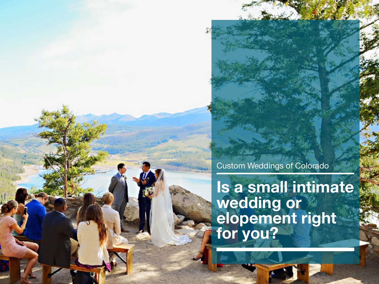Custom Weddings of Colorado

**Is a small intimate wedding or elopement right for you?**